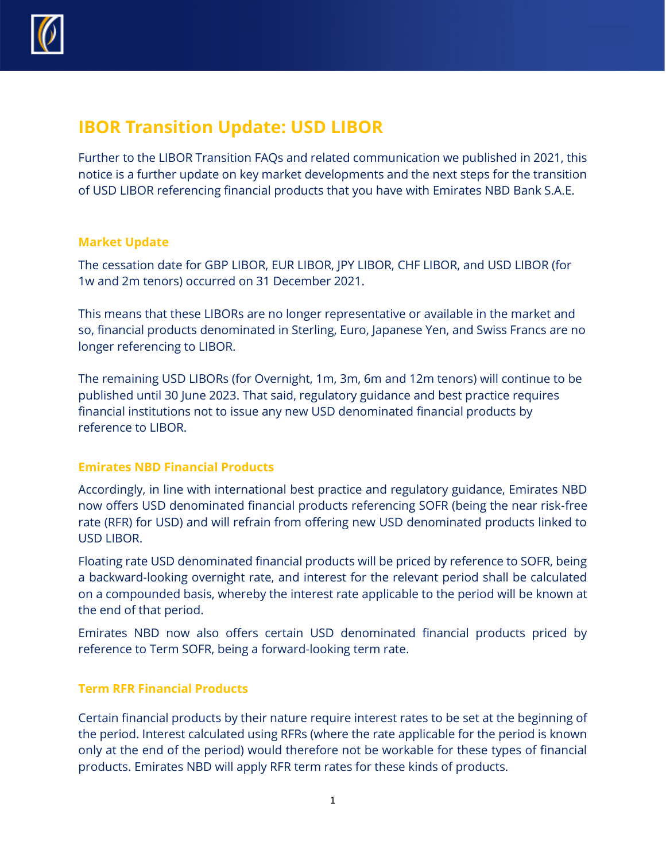

# **IBOR Transition Update: USD LIBOR**

Further to the LIBOR Transition FAQs and related communication we published in 2021, this notice is a further update on key market developments and the next steps for the transition of USD LIBOR referencing financial products that you have with Emirates NBD Bank S.A.E.

### **Market Update**

The cessation date for GBP LIBOR, EUR LIBOR, JPY LIBOR, CHF LIBOR, and USD LIBOR (for 1w and 2m tenors) occurred on 31 December 2021.

This means that these LIBORs are no longer representative or available in the market and so, financial products denominated in Sterling, Euro, Japanese Yen, and Swiss Francs are no longer referencing to LIBOR.

The remaining USD LIBORs (for Overnight, 1m, 3m, 6m and 12m tenors) will continue to be published until 30 June 2023. That said, regulatory guidance and best practice requires financial institutions not to issue any new USD denominated financial products by reference to LIBOR.

## **Emirates NBD Financial Products**

Accordingly, in line with international best practice and regulatory guidance, Emirates NBD now offers USD denominated financial products referencing SOFR (being the near risk-free rate (RFR) for USD) and will refrain from offering new USD denominated products linked to USD LIBOR.

Floating rate USD denominated financial products will be priced by reference to SOFR, being a backward-looking overnight rate, and interest for the relevant period shall be calculated on a compounded basis, whereby the interest rate applicable to the period will be known at the end of that period.

Emirates NBD now also offers certain USD denominated financial products priced by reference to Term SOFR, being a forward-looking term rate.

### **Term RFR Financial Products**

Certain financial products by their nature require interest rates to be set at the beginning of the period. Interest calculated using RFRs (where the rate applicable for the period is known only at the end of the period) would therefore not be workable for these types of financial products. Emirates NBD will apply RFR term rates for these kinds of products.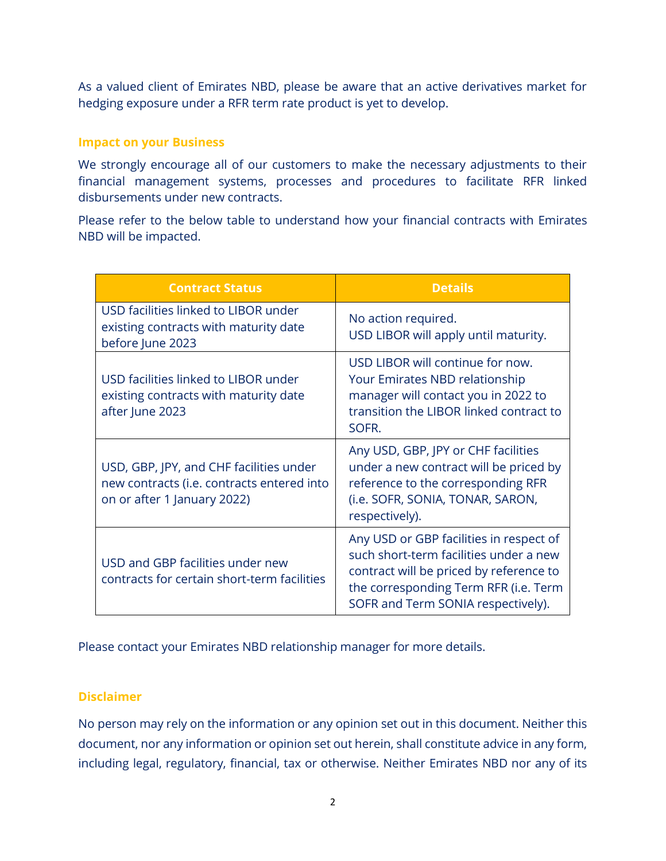As a valued client of Emirates NBD, please be aware that an active derivatives market for hedging exposure under a RFR term rate product is yet to develop.

#### **Impact on your Business**

We strongly encourage all of our customers to make the necessary adjustments to their financial management systems, processes and procedures to facilitate RFR linked disbursements under new contracts.

Please refer to the below table to understand how your financial contracts with Emirates NBD will be impacted.

| <b>Contract Status</b>                                                                                               | <b>Details</b>                                                                                                                                                                                              |
|----------------------------------------------------------------------------------------------------------------------|-------------------------------------------------------------------------------------------------------------------------------------------------------------------------------------------------------------|
| USD facilities linked to LIBOR under<br>existing contracts with maturity date<br>before June 2023                    | No action required.<br>USD LIBOR will apply until maturity.                                                                                                                                                 |
| USD facilities linked to LIBOR under<br>existing contracts with maturity date<br>after June 2023                     | USD LIBOR will continue for now.<br>Your Emirates NBD relationship<br>manager will contact you in 2022 to<br>transition the LIBOR linked contract to<br>SOFR.                                               |
| USD, GBP, JPY, and CHF facilities under<br>new contracts (i.e. contracts entered into<br>on or after 1 January 2022) | Any USD, GBP, JPY or CHF facilities<br>under a new contract will be priced by<br>reference to the corresponding RFR<br>(i.e. SOFR, SONIA, TONAR, SARON,<br>respectively).                                   |
| USD and GBP facilities under new<br>contracts for certain short-term facilities                                      | Any USD or GBP facilities in respect of<br>such short-term facilities under a new<br>contract will be priced by reference to<br>the corresponding Term RFR (i.e. Term<br>SOFR and Term SONIA respectively). |

Please contact your Emirates NBD relationship manager for more details.

### **Disclaimer**

No person may rely on the information or any opinion set out in this document. Neither this document, nor any information or opinion set out herein, shall constitute advice in any form, including legal, regulatory, financial, tax or otherwise. Neither Emirates NBD nor any of its